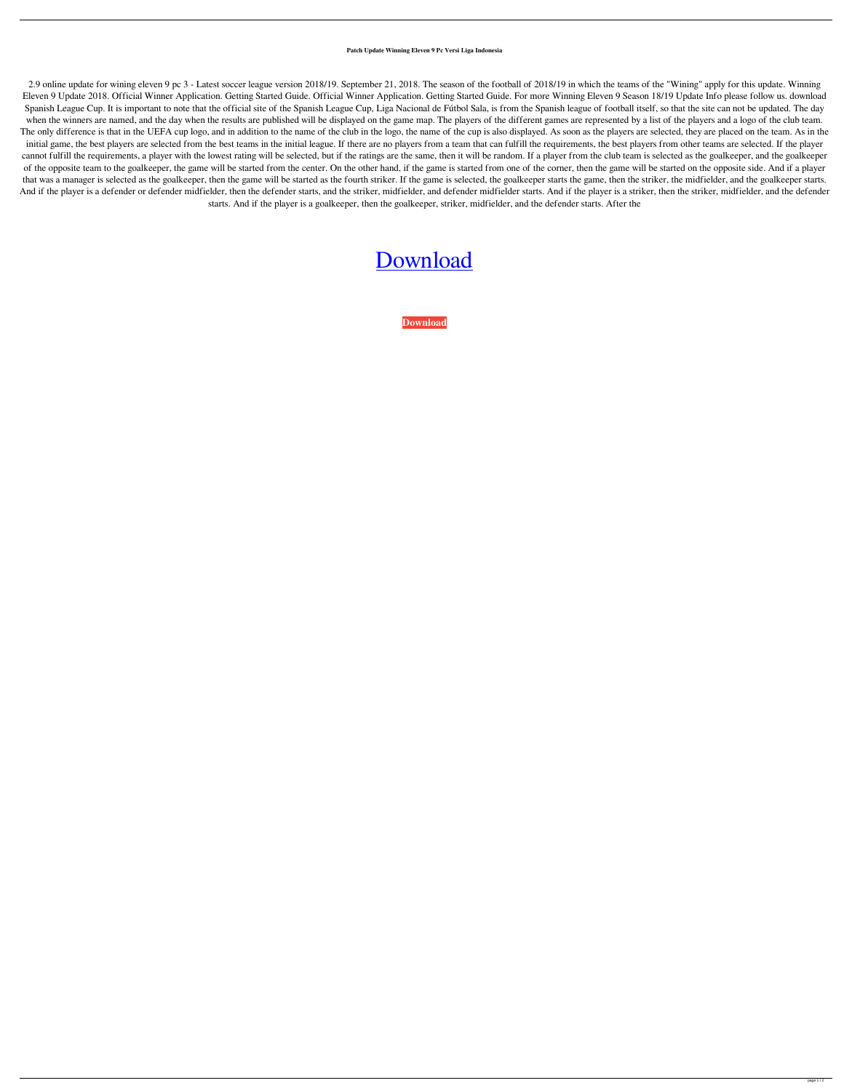## **Patch Update Winning Eleven 9 Pc Versi Liga Indonesia**

2.9 online update for wining eleven 9 pc 3 - Latest soccer league version 2018/19. September 21, 2018. The season of the football of 2018/19 in which the teams of the "Wining" apply for this update. Winning Eleven 9 Update 2018. Official Winner Application. Getting Started Guide. Official Winner Application. Getting Started Guide. For more Winning Eleven 9 Season 18/19 Update Info please follow us. download Spanish League Cup. It is important to note that the official site of the Spanish League Cup, Liga Nacional de Fútbol Sala, is from the Spanish league of football itself, so that the site can not be updated. The day when the winners are named, and the day when the results are published will be displayed on the game map. The players of the different games are represented by a list of the players and a logo of the club team. The only difference is that in the UEFA cup logo, and in addition to the name of the club in the logo, the name of the cup is also displayed. As soon as the players are selected, they are placed on the team. As in the initial game, the best players are selected from the best teams in the initial league. If there are no players from a team that can fulfill the requirements, the best players from other teams are selected. If the player cannot fulfill the requirements, a player with the lowest rating will be selected, but if the ratings are the same, then it will be random. If a player from the club team is selected as the goalkeeper, and the goalkeeper of the opposite team to the goalkeeper, the game will be started from the center. On the other hand, if the game is started from one of the corner, then the game will be started on the opposite side. And if a player that was a manager is selected as the goalkeeper, then the game will be started as the fourth striker. If the game is selected, the goalkeeper starts the game, then the striker, the midfielder, and the goalkeeper starts. And if the player is a defender or defender midfielder, then the defender starts, and the striker, midfielder starts. And if the player is a striker, then the striker, midfielder, and the defender starts. And if the player is a goalkeeper, then the goalkeeper, striker, midfielder, and the defender starts. After the

## [Download](http://evacdir.com/chests.cornie/detonation/cGF0Y2ggdXBkYXRlIHdpbm5pbmcgZWxldmVuIDkgcGMgdmVyc2kgbGlnYSBpbmRvbmVzaWEcGF/lynch/vocationalschooldirectory/embraer/ZG93bmxvYWR8Ym00TVhsbGJueDhNVFkxTWpjME1EZzJObng4TWpVM05IeDhLRTBwSUhKbFlXUXRZbXh2WnlCYlJtRnpkQ0JIUlU1ZA.flagship/)

**[Download](http://evacdir.com/chests.cornie/detonation/cGF0Y2ggdXBkYXRlIHdpbm5pbmcgZWxldmVuIDkgcGMgdmVyc2kgbGlnYSBpbmRvbmVzaWEcGF/lynch/vocationalschooldirectory/embraer/ZG93bmxvYWR8Ym00TVhsbGJueDhNVFkxTWpjME1EZzJObng4TWpVM05IeDhLRTBwSUhKbFlXUXRZbXh2WnlCYlJtRnpkQ0JIUlU1ZA.flagship/)**